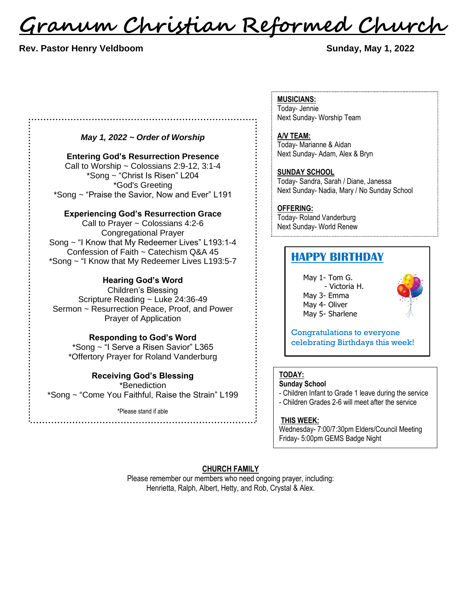<u>Granum Christian Reformed Church</u>

#### **Rev. Pastor Henry Veldboom Sunday, May 1, 2022**

*May 1, 2022 ~ Order of Worship*

**Entering God's Resurrection Presence** Call to Worship  $\sim$  Colossians 2:9-12, 3:1-4 \*Song ~ "Christ Is Risen" L204 \*God's Greeting \*Song ~ "Praise the Savior, Now and Ever" L191

**Experiencing God's Resurrection Grace**

Call to Prayer ~ Colossians 4:2-6 Congregational Prayer Song ~ "I Know that My Redeemer Lives" L193:1-4 Confession of Faith ~ Catechism Q&A 45 \*Song ~ "I Know that My Redeemer Lives L193:5-7

#### **Hearing God's Word**

Children's Blessing Scripture Reading ~ Luke 24:36-49 Sermon ~ Resurrection Peace, Proof, and Power Prayer of Application

**Responding to God's Word**

\*Song ~ "I Serve a Risen Savior" L365 \*Offertory Prayer for Roland Vanderburg

### **Receiving God's Blessing**

\*Benediction \*Song ~ "Come You Faithful, Raise the Strain" L199

\*Please stand if able

**MUSICIANS:** Today- Jennie Next Sunday- Worship Team

**A/V TEAM:** Today- Marianne & Aidan Next Sunday- Adam, Alex & Bryn

**SUNDAY SCHOOL** Today- Sandra, Sarah / Diane, Janessa Next Sunday- Nadia, Mary / No Sunday School

**OFFERING:**

Today- Roland Vanderburg Next Sunday- World Renew 

### **HAPPY BIRTHDAY**

May 1- Tom G. - Victoria H. May 3- Emma May 4- Oliver May 5- Sharlene



Congratulations to everyone celebrating Birthdays this week!

### **TODAY:**

**Sunday School**

- Children Infant to Grade 1 leave during the service

- Children Grades 2-6 will meet after the service

#### **THIS WEEK:**

Wednesday- 7:00/7:30pm Elders/Council Meeting Friday- 5:00pm GEMS Badge Night

#### **CHURCH FAMILY**

Please remember our members who need ongoing prayer, including: Henrietta, Ralph, Albert, Hetty, and Rob, Crystal & Alex.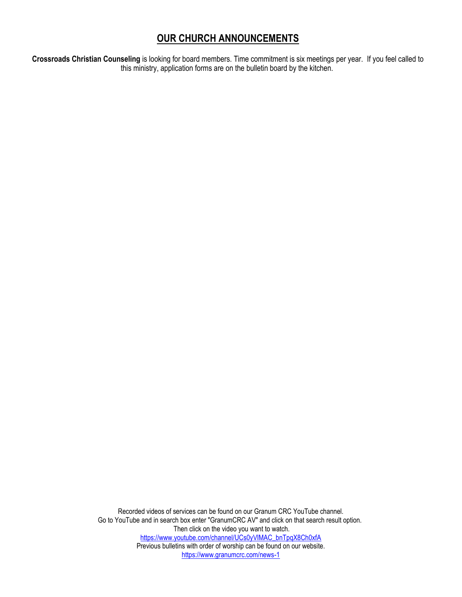## **OUR CHURCH ANNOUNCEMENTS**

**Crossroads Christian Counseling** is looking for board members. Time commitment is six meetings per year. If you feel called to this ministry, application forms are on the bulletin board by the kitchen.

> Recorded videos of services can be found on our Granum CRC YouTube channel. Go to YouTube and in search box enter "GranumCRC AV" and click on that search result option. Then click on the video you want to watch. [https://www.youtube.com/channel/UCs0yVlMAC\\_bnTpqX8Ch0xfA](https://www.youtube.com/channel/UCs0yVlMAC_bnTpqX8Ch0xfA) Previous bulletins with order of worship can be found on our website. <https://www.granumcrc.com/news-1>